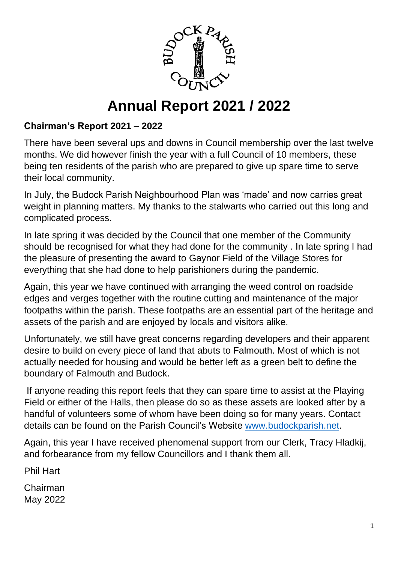

# **Annual Report 2021 / 2022**

# **Chairman's Report 2021 – 2022**

There have been several ups and downs in Council membership over the last twelve months. We did however finish the year with a full Council of 10 members, these being ten residents of the parish who are prepared to give up spare time to serve their local community.

In July, the Budock Parish Neighbourhood Plan was 'made' and now carries great weight in planning matters. My thanks to the stalwarts who carried out this long and complicated process.

In late spring it was decided by the Council that one member of the Community should be recognised for what they had done for the community . In late spring I had the pleasure of presenting the award to Gaynor Field of the Village Stores for everything that she had done to help parishioners during the pandemic.

Again, this year we have continued with arranging the weed control on roadside edges and verges together with the routine cutting and maintenance of the major footpaths within the parish. These footpaths are an essential part of the heritage and assets of the parish and are enjoyed by locals and visitors alike.

Unfortunately, we still have great concerns regarding developers and their apparent desire to build on every piece of land that abuts to Falmouth. Most of which is not actually needed for housing and would be better left as a green belt to define the boundary of Falmouth and Budock.

If anyone reading this report feels that they can spare time to assist at the Playing Field or either of the Halls, then please do so as these assets are looked after by a handful of volunteers some of whom have been doing so for many years. Contact details can be found on the Parish Council's Website [www.budockparish.net.](http://www.budockparish.net/)

Again, this year I have received phenomenal support from our Clerk, Tracy Hladkij, and forbearance from my fellow Councillors and I thank them all.

Phil Hart

Chairman May 2022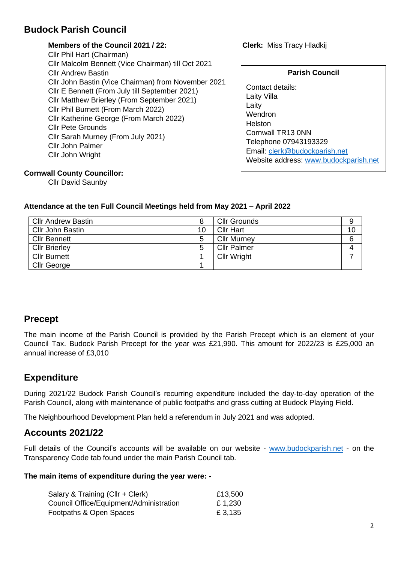# **Budock Parish Council**

## **Members of the Council 2021 / 22: Clerk:** Miss Tracy Hladkij

Cllr Phil Hart (Chairman) Cllr Malcolm Bennett (Vice Chairman) till Oct 2021 Cllr Andrew Bastin Cllr John Bastin (Vice Chairman) from November 2021 Cllr E Bennett (From July till September 2021) Cllr Matthew Brierley (From September 2021) Cllr Phil Burnett (From March 2022) Cllr Katherine George (From March 2022) Cllr Pete Grounds Cllr Sarah Murney (From July 2021) Cllr John Palmer Cllr John Wright

#### **Parish Council**

Contact details: Laity Villa Laity **Wendron** Helston Cornwall TR13 0NN Telephone 07943193329 Email: [clerk@budockparish.net](file:///D:/AppData/Local/Microsoft/Windows/INetCache/Content.Outlook/20G9Y89T/clerk@budockparish.net) Website address: [www.budockparish.net](http://www.budockparish.net/)

### **Cornwall County Councillor:**

Cllr David Saunby

## **Attendance at the ten Full Council Meetings held from May 2021 – April 2022**

| <b>Cllr Andrew Bastin</b> |    | <b>Cllr Grounds</b> | 9  |
|---------------------------|----|---------------------|----|
| Cllr John Bastin          | 10 | <b>Cllr Hart</b>    | 10 |
| <b>Cllr Bennett</b>       |    | Cllr Murney         | 6  |
| <b>Cllr Brierley</b>      |    | <b>Cllr Palmer</b>  |    |
| Cllr Burnett              |    | <b>Cllr Wright</b>  |    |
| Cllr George               |    |                     |    |

## **Precept**

The main income of the Parish Council is provided by the Parish Precept which is an element of your Council Tax. Budock Parish Precept for the year was £21,990. This amount for 2022/23 is £25,000 an annual increase of £3,010

# **Expenditure**

During 2021/22 Budock Parish Council's recurring expenditure included the day-to-day operation of the Parish Council, along with maintenance of public footpaths and grass cutting at Budock Playing Field.

The Neighbourhood Development Plan held a referendum in July 2021 and was adopted.

## **Accounts 2021/22**

Full details of the Council's accounts will be available on our website - [www.budockparish.net](http://www.budockparish.net/) - on the Transparency Code tab found under the main Parish Council tab.

#### **The main items of expenditure during the year were: -**

| Salary & Training (Cllr + Clerk)        | £13,500 |  |  |
|-----------------------------------------|---------|--|--|
| Council Office/Equipment/Administration | £ 1,230 |  |  |
| Footpaths & Open Spaces                 | £ 3,135 |  |  |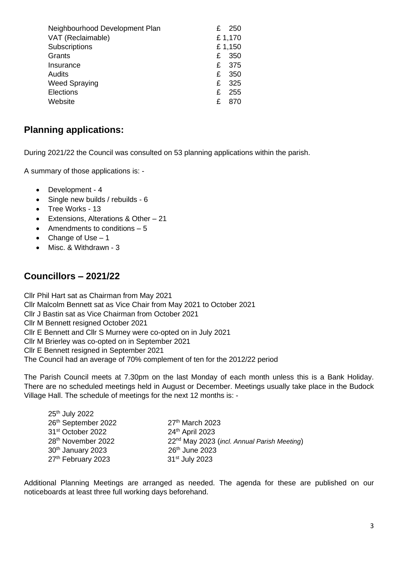| Neighbourhood Development Plan<br>VAT (Reclaimable) | £ | 250<br>£1,170 |
|-----------------------------------------------------|---|---------------|
| Subscriptions                                       |   | £1,150        |
| Grants                                              | £ | 350           |
| Insurance                                           | £ | 375           |
| Audits                                              | £ | 350           |
| <b>Weed Spraying</b>                                | £ | 325           |
| Elections                                           | £ | 255           |
| Website                                             | £ | 870           |

# **Planning applications:**

During 2021/22 the Council was consulted on 53 planning applications within the parish.

A summary of those applications is: -

- Development 4
- Single new builds / rebuilds 6
- Tree Works 13
- Extensions, Alterations & Other 21
- Amendments to conditions 5
- Change of Use 1
- Misc. & Withdrawn 3

## **Councillors – 2021/22**

Cllr Phil Hart sat as Chairman from May 2021 Cllr Malcolm Bennett sat as Vice Chair from May 2021 to October 2021 Cllr J Bastin sat as Vice Chairman from October 2021 Cllr M Bennett resigned October 2021 Cllr E Bennett and Cllr S Murney were co-opted on in July 2021 Cllr M Brierley was co-opted on in September 2021 Cllr E Bennett resigned in September 2021 The Council had an average of 70% complement of ten for the 2012/22 period

The Parish Council meets at 7.30pm on the last Monday of each month unless this is a Bank Holiday. There are no scheduled meetings held in August or December. Meetings usually take place in the Budock Village Hall. The schedule of meetings for the next 12 months is: -

| 25 <sup>th</sup> July 2022     |                                                         |
|--------------------------------|---------------------------------------------------------|
| 26th September 2022            | 27th March 2023                                         |
| 31 <sup>st</sup> October 2022  | 24th April 2023                                         |
| 28 <sup>th</sup> November 2022 | 22 <sup>nd</sup> May 2023 (incl. Annual Parish Meeting) |
| 30 <sup>th</sup> January 2023  | 26th June 2023                                          |
| 27 <sup>th</sup> February 2023 | 31 <sup>st</sup> July 2023                              |

Additional Planning Meetings are arranged as needed. The agenda for these are published on our noticeboards at least three full working days beforehand.